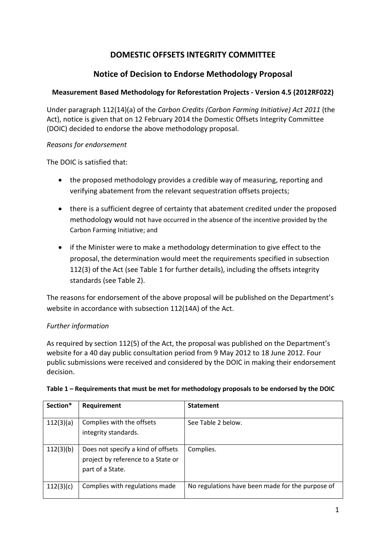# **DOMESTIC OFFSETS INTEGRITY COMMITTEE**

# **Notice of Decision to Endorse Methodology Proposal**

## **Measurement Based Methodology for Reforestation Projects - Version 4.5 (2012RF022)**

Under paragraph 112(14)(a) of the *Carbon Credits (Carbon Farming Initiative) Act 2011* (the Act), notice is given that on 12 February 2014 the Domestic Offsets Integrity Committee (DOIC) decided to endorse the above methodology proposal.

### *Reasons for endorsement*

The DOIC is satisfied that:

- the proposed methodology provides a credible way of measuring, reporting and verifying abatement from the relevant sequestration offsets projects;
- there is a sufficient degree of certainty that abatement credited under the proposed methodology would not have occurred in the absence of the incentive provided by the Carbon Farming Initiative; and
- if the Minister were to make a methodology determination to give effect to the proposal, the determination would meet the requirements specified in subsection 112(3) of the Act (see Table 1 for further details), including the offsets integrity standards (see Table 2).

The reasons for endorsement of the above proposal will be published on the Department's website in accordance with subsection 112(14A) of the Act.

### *Further information*

As required by section 112(5) of the Act, the proposal was published on the Department's website for a 40 day public consultation period from 9 May 2012 to 18 June 2012. Four public submissions were received and considered by the DOIC in making their endorsement decision.

| Section*  | Requirement                                                                                  | <b>Statement</b>                                 |
|-----------|----------------------------------------------------------------------------------------------|--------------------------------------------------|
| 112(3)(a) | Complies with the offsets<br>integrity standards.                                            | See Table 2 below.                               |
| 112(3)(b) | Does not specify a kind of offsets<br>project by reference to a State or<br>part of a State. | Complies.                                        |
| 112(3)(c) | Complies with regulations made                                                               | No regulations have been made for the purpose of |

#### **Table 1 – Requirements that must be met for methodology proposals to be endorsed by the DOIC**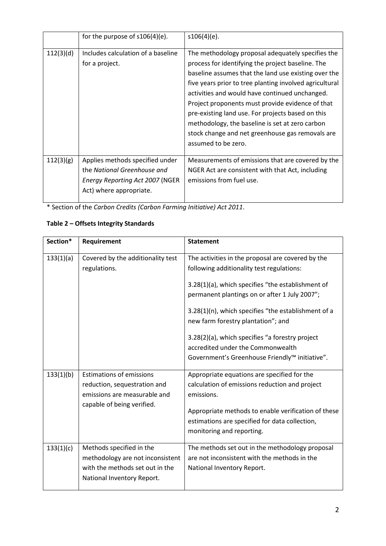|           | for the purpose of $s106(4)(e)$ .                                                                                                    | $s106(4)(e)$ .                                                                                                                                                                                                                                                                                                                                                                                                                                                                                                     |
|-----------|--------------------------------------------------------------------------------------------------------------------------------------|--------------------------------------------------------------------------------------------------------------------------------------------------------------------------------------------------------------------------------------------------------------------------------------------------------------------------------------------------------------------------------------------------------------------------------------------------------------------------------------------------------------------|
| 112(3)(d) | Includes calculation of a baseline<br>for a project.                                                                                 | The methodology proposal adequately specifies the<br>process for identifying the project baseline. The<br>baseline assumes that the land use existing over the<br>five years prior to tree planting involved agricultural<br>activities and would have continued unchanged.<br>Project proponents must provide evidence of that<br>pre-existing land use. For projects based on this<br>methodology, the baseline is set at zero carbon<br>stock change and net greenhouse gas removals are<br>assumed to be zero. |
| 112(3)(g) | Applies methods specified under<br>the National Greenhouse and<br><b>Energy Reporting Act 2007 (NGER)</b><br>Act) where appropriate. | Measurements of emissions that are covered by the<br>NGER Act are consistent with that Act, including<br>emissions from fuel use.                                                                                                                                                                                                                                                                                                                                                                                  |

\* Section of the *Carbon Credits (Carbon Farming Initiative) Act 2011*.

## **Table 2 – Offsets Integrity Standards**

| Section*  | Requirement                                                                                                                   | <b>Statement</b>                                                                                                                                                                                                                                                                                                                                                                                                                            |
|-----------|-------------------------------------------------------------------------------------------------------------------------------|---------------------------------------------------------------------------------------------------------------------------------------------------------------------------------------------------------------------------------------------------------------------------------------------------------------------------------------------------------------------------------------------------------------------------------------------|
| 133(1)(a) | Covered by the additionality test<br>regulations.                                                                             | The activities in the proposal are covered by the<br>following additionality test regulations:<br>3.28(1)(a), which specifies "the establishment of<br>permanent plantings on or after 1 July 2007";<br>3.28(1)(n), which specifies "the establishment of a<br>new farm forestry plantation"; and<br>3.28(2)(a), which specifies "a forestry project<br>accredited under the Commonwealth<br>Government's Greenhouse Friendly™ initiative". |
| 133(1)(b) | <b>Estimations of emissions</b><br>reduction, sequestration and<br>emissions are measurable and<br>capable of being verified. | Appropriate equations are specified for the<br>calculation of emissions reduction and project<br>emissions.<br>Appropriate methods to enable verification of these<br>estimations are specified for data collection,<br>monitoring and reporting.                                                                                                                                                                                           |
| 133(1)(c) | Methods specified in the<br>methodology are not inconsistent<br>with the methods set out in the<br>National Inventory Report. | The methods set out in the methodology proposal<br>are not inconsistent with the methods in the<br>National Inventory Report.                                                                                                                                                                                                                                                                                                               |